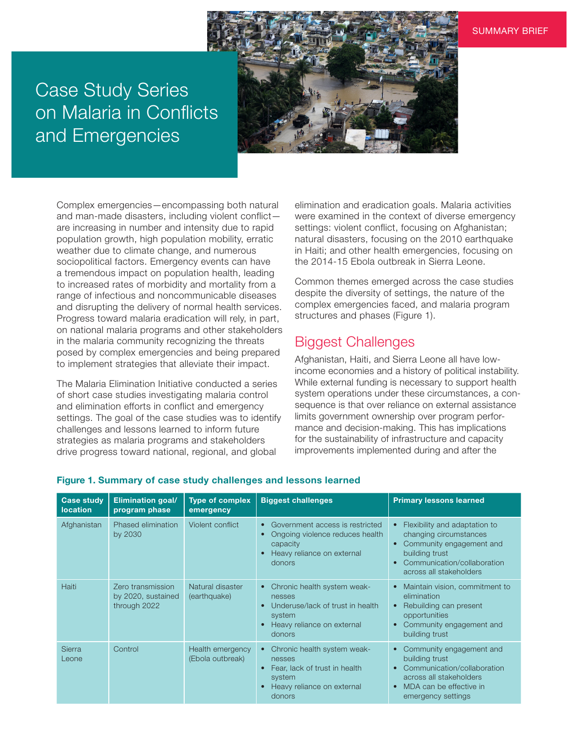## Case Study Series on Malaria in Conflicts and Emergencies



Complex emergencies—encompassing both natural and man-made disasters, including violent conflict are increasing in number and intensity due to rapid population growth, high population mobility, erratic weather due to climate change, and numerous sociopolitical factors. Emergency events can have a tremendous impact on population health, leading to increased rates of morbidity and mortality from a range of infectious and noncommunicable diseases and disrupting the delivery of normal health services. Progress toward malaria eradication will rely, in part, on national malaria programs and other stakeholders in the malaria community recognizing the threats posed by complex emergencies and being prepared to implement strategies that alleviate their impact.

The Malaria Elimination Initiative conducted a series of short case studies investigating malaria control and elimination efforts in conflict and emergency settings. The goal of the case studies was to identify challenges and lessons learned to inform future strategies as malaria programs and stakeholders drive progress toward national, regional, and global

elimination and eradication goals. Malaria activities were examined in the context of diverse emergency settings: violent conflict, focusing on Afghanistan; natural disasters, focusing on the 2010 earthquake in Haiti; and other health emergencies, focusing on the 2014-15 Ebola outbreak in Sierra Leone.

Common themes emerged across the case studies despite the diversity of settings, the nature of the complex emergencies faced, and malaria program structures and phases (Figure 1).

## Biggest Challenges

Afghanistan, Haiti, and Sierra Leone all have lowincome economies and a history of political instability. While external funding is necessary to support health system operations under these circumstances, a consequence is that over reliance on external assistance limits government ownership over program performance and decision-making. This has implications for the sustainability of infrastructure and capacity improvements implemented during and after the

| <b>Case study</b><br>location | <b>Elimination goal/</b><br>program phase               | <b>Type of complex</b><br>emergency  | <b>Biggest challenges</b>                                                                                                                | <b>Primary lessons learned</b>                                                                                                                                               |
|-------------------------------|---------------------------------------------------------|--------------------------------------|------------------------------------------------------------------------------------------------------------------------------------------|------------------------------------------------------------------------------------------------------------------------------------------------------------------------------|
| Afghanistan                   | Phased elimination<br>by 2030                           | Violent conflict                     | Government access is restricted<br>Ongoing violence reduces health<br>capacity<br>Heavy reliance on external<br>donors                   | Flexibility and adaptation to<br>$\bullet$<br>changing circumstances<br>Community engagement and<br>building trust<br>Communication/collaboration<br>across all stakeholders |
| Haiti                         | Zero transmission<br>by 2020, sustained<br>through 2022 | Natural disaster<br>(earthquake)     | Chronic health system weak-<br>$\bullet$<br>nesses<br>Underuse/lack of trust in health<br>system<br>Heavy reliance on external<br>donors | Maintain vision, commitment to<br>$\bullet$<br>elimination<br>Rebuilding can present<br>opportunities<br>Community engagement and<br>building trust                          |
| <b>Sierra</b><br>Leone        | Control                                                 | Health emergency<br>(Ebola outbreak) | Chronic health system weak-<br>nesses<br>Fear, lack of trust in health<br>system<br>Heavy reliance on external<br>donors                 | Community engagement and<br>building trust<br>Communication/collaboration<br>across all stakeholders<br>MDA can be effective in<br>$\bullet$<br>emergency settings           |

## Figure 1. Summary of case study challenges and lessons learned

SUMMARY BRIEF